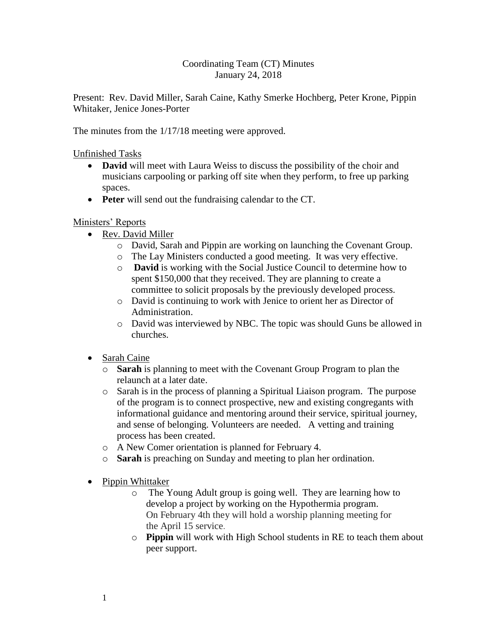## Coordinating Team (CT) Minutes January 24, 2018

Present: Rev. David Miller, Sarah Caine, Kathy Smerke Hochberg, Peter Krone, Pippin Whitaker, Jenice Jones-Porter

The minutes from the 1/17/18 meeting were approved.

Unfinished Tasks

- **David** will meet with Laura Weiss to discuss the possibility of the choir and musicians carpooling or parking off site when they perform, to free up parking spaces.
- **Peter** will send out the fundraising calendar to the CT.

## Ministers' Reports

- Rev. David Miller
	- o David, Sarah and Pippin are working on launching the Covenant Group.
	- o The Lay Ministers conducted a good meeting. It was very effective.
	- o **David** is working with the Social Justice Council to determine how to spent \$150,000 that they received. They are planning to create a committee to solicit proposals by the previously developed process.
	- o David is continuing to work with Jenice to orient her as Director of Administration.
	- o David was interviewed by NBC. The topic was should Guns be allowed in churches.
- Sarah Caine
	- o **Sarah** is planning to meet with the Covenant Group Program to plan the relaunch at a later date.
	- o Sarah is in the process of planning a Spiritual Liaison program. The purpose of the program is to connect prospective, new and existing congregants with informational guidance and mentoring around their service, spiritual journey, and sense of belonging. Volunteers are needed. A vetting and training process has been created.
	- o A New Comer orientation is planned for February 4.
	- o **Sarah** is preaching on Sunday and meeting to plan her ordination.
- Pippin Whittaker
	- o The Young Adult group is going well. They are learning how to develop a project by working on the Hypothermia program. On February 4th they will hold a worship planning meeting for the April 15 service.
	- o **Pippin** will work with High School students in RE to teach them about peer support.